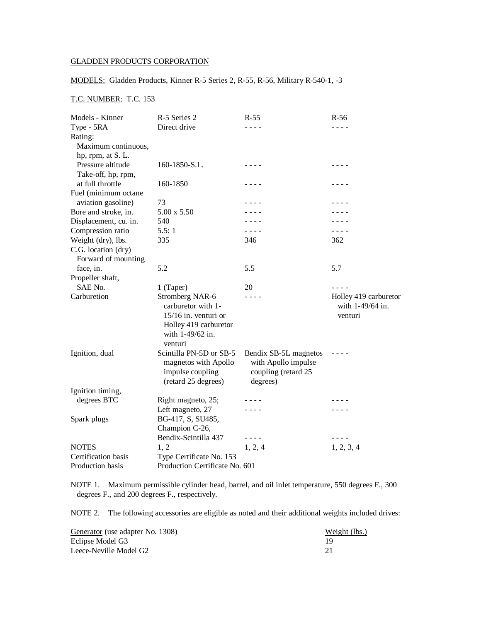## GLADDEN PRODUCTS CORPORATION

## MODELS: Gladden Products, Kinner R-5 Series 2, R-55, R-56, Military R-540-1, -3

## T.C. NUMBER: T.C. 153

| Models - Kinner       | R-5 Series 2                                                                                                            | $R-55$                                                                                | $R-56$                                                                                                                                                                                                                                                                                                                                                                                       |  |
|-----------------------|-------------------------------------------------------------------------------------------------------------------------|---------------------------------------------------------------------------------------|----------------------------------------------------------------------------------------------------------------------------------------------------------------------------------------------------------------------------------------------------------------------------------------------------------------------------------------------------------------------------------------------|--|
| Type - 5RA            | Direct drive                                                                                                            | - - - -                                                                               | - - - -                                                                                                                                                                                                                                                                                                                                                                                      |  |
| Rating:               |                                                                                                                         |                                                                                       |                                                                                                                                                                                                                                                                                                                                                                                              |  |
| Maximum continuous,   |                                                                                                                         |                                                                                       |                                                                                                                                                                                                                                                                                                                                                                                              |  |
| hp, rpm, at S. L.     |                                                                                                                         |                                                                                       |                                                                                                                                                                                                                                                                                                                                                                                              |  |
| Pressure altitude     | 160-1850-S.L.                                                                                                           | $- - - -$                                                                             | - - - -                                                                                                                                                                                                                                                                                                                                                                                      |  |
| Take-off, hp, rpm,    |                                                                                                                         |                                                                                       |                                                                                                                                                                                                                                                                                                                                                                                              |  |
| at full throttle      | 160-1850                                                                                                                | .                                                                                     | .                                                                                                                                                                                                                                                                                                                                                                                            |  |
| Fuel (minimum octane  |                                                                                                                         |                                                                                       |                                                                                                                                                                                                                                                                                                                                                                                              |  |
| aviation gasoline)    | 73                                                                                                                      |                                                                                       |                                                                                                                                                                                                                                                                                                                                                                                              |  |
| Bore and stroke, in.  | 5.00 x 5.50                                                                                                             |                                                                                       |                                                                                                                                                                                                                                                                                                                                                                                              |  |
| Displacement, cu. in. | 540                                                                                                                     |                                                                                       |                                                                                                                                                                                                                                                                                                                                                                                              |  |
| Compression ratio     | 5.5:1                                                                                                                   | $\sim$ $\sim$ $\sim$                                                                  | $\frac{1}{2} \frac{1}{2} \frac{1}{2} \frac{1}{2} \frac{1}{2} \frac{1}{2} \frac{1}{2} \frac{1}{2} \frac{1}{2} \frac{1}{2} \frac{1}{2} \frac{1}{2} \frac{1}{2} \frac{1}{2} \frac{1}{2} \frac{1}{2} \frac{1}{2} \frac{1}{2} \frac{1}{2} \frac{1}{2} \frac{1}{2} \frac{1}{2} \frac{1}{2} \frac{1}{2} \frac{1}{2} \frac{1}{2} \frac{1}{2} \frac{1}{2} \frac{1}{2} \frac{1}{2} \frac{1}{2} \frac{$ |  |
| Weight (dry), lbs.    | 335                                                                                                                     | 346                                                                                   | 362                                                                                                                                                                                                                                                                                                                                                                                          |  |
| C.G. location (dry)   |                                                                                                                         |                                                                                       |                                                                                                                                                                                                                                                                                                                                                                                              |  |
| Forward of mounting   |                                                                                                                         |                                                                                       |                                                                                                                                                                                                                                                                                                                                                                                              |  |
| face, in.             | 5.2                                                                                                                     | 5.5                                                                                   | 5.7                                                                                                                                                                                                                                                                                                                                                                                          |  |
| Propeller shaft,      |                                                                                                                         |                                                                                       |                                                                                                                                                                                                                                                                                                                                                                                              |  |
| SAE No.               | 1 (Taper)                                                                                                               | 20                                                                                    |                                                                                                                                                                                                                                                                                                                                                                                              |  |
| Carburetion           | Stromberg NAR-6<br>carburetor with 1-<br>$15/16$ in. venturi or<br>Holley 419 carburetor<br>with 1-49/62 in.<br>venturi | - - - -                                                                               | Holley 419 carburetor<br>with 1-49/64 in.<br>venturi                                                                                                                                                                                                                                                                                                                                         |  |
| Ignition, dual        | Scintilla PN-5D or SB-5<br>magnetos with Apollo<br>impulse coupling<br>(retard 25 degrees)                              | Bendix SB-5L magnetos<br>with Apollo impulse<br>coupling (retard 25<br>degrees)       |                                                                                                                                                                                                                                                                                                                                                                                              |  |
| Ignition timing,      |                                                                                                                         |                                                                                       |                                                                                                                                                                                                                                                                                                                                                                                              |  |
| degrees BTC           | Right magneto, 25;                                                                                                      |                                                                                       |                                                                                                                                                                                                                                                                                                                                                                                              |  |
|                       | Left magneto, 27                                                                                                        |                                                                                       |                                                                                                                                                                                                                                                                                                                                                                                              |  |
| Spark plugs           | BG-417, S, SU485,                                                                                                       |                                                                                       |                                                                                                                                                                                                                                                                                                                                                                                              |  |
|                       | Champion C-26,                                                                                                          |                                                                                       |                                                                                                                                                                                                                                                                                                                                                                                              |  |
|                       | Bendix-Scintilla 437                                                                                                    | $\frac{1}{2} \frac{1}{2} \frac{1}{2} \frac{1}{2} \frac{1}{2} \frac{1}{2} \frac{1}{2}$ | - - - -                                                                                                                                                                                                                                                                                                                                                                                      |  |
| <b>NOTES</b>          | 1, 2                                                                                                                    | 1, 2, 4                                                                               | 1, 2, 3, 4                                                                                                                                                                                                                                                                                                                                                                                   |  |
| Certification basis   | Type Certificate No. 153                                                                                                |                                                                                       |                                                                                                                                                                                                                                                                                                                                                                                              |  |
| Production basis      | Production Certificate No. 601                                                                                          |                                                                                       |                                                                                                                                                                                                                                                                                                                                                                                              |  |

NOTE 1. Maximum permissible cylinder head, barrel, and oil inlet temperature, 550 degrees F., 300 degrees F., and 200 degrees F., respectively.

NOTE 2. The following accessories are eligible as noted and their additional weights included drives:

| Generator (use adapter No. 1308) | Weight (lbs.) |
|----------------------------------|---------------|
| Eclipse Model G3                 |               |
| Leece-Neville Model G2           |               |